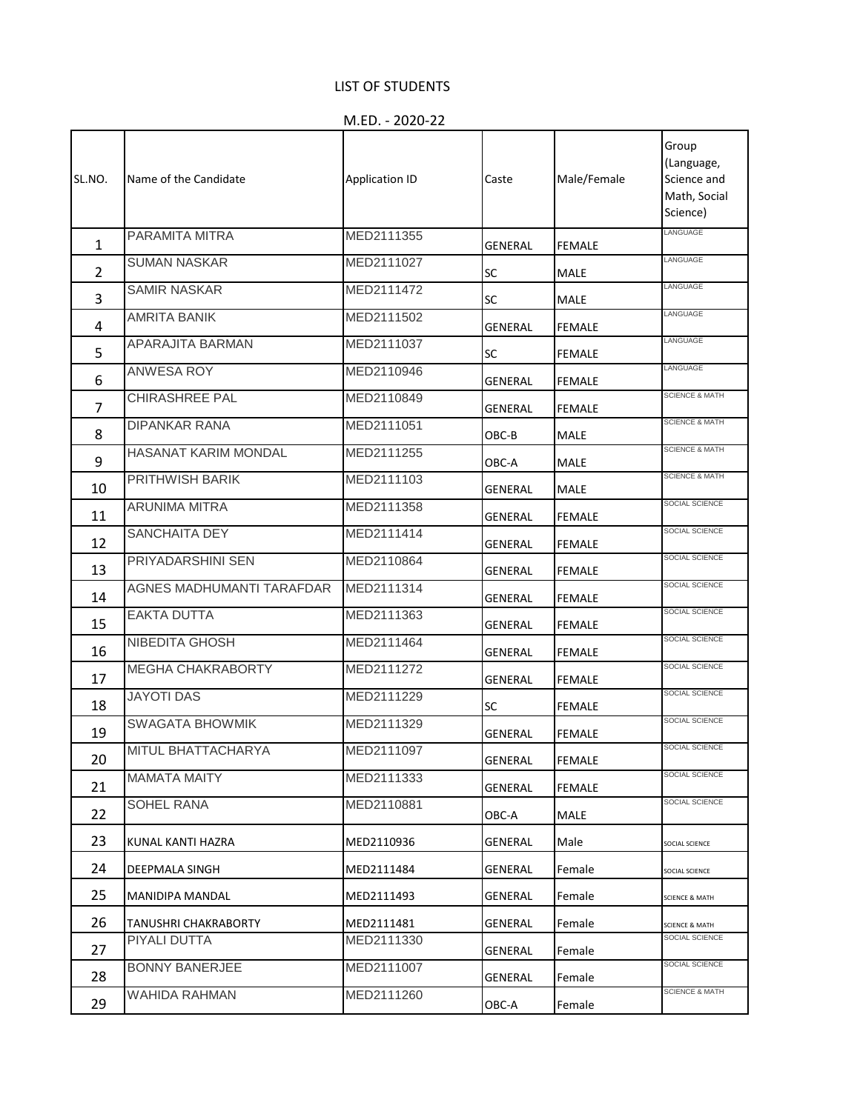## LIST OF STUDENTS

M.ED. - 2020-22

| SL.NO.         | Name of the Candidate            | <b>Application ID</b> | Caste     | Male/Female   | Group<br>(Language,<br>Science and<br>Math, Social<br>Science) |
|----------------|----------------------------------|-----------------------|-----------|---------------|----------------------------------------------------------------|
| 1              | PARAMITA MITRA                   | MED2111355            | GENERAL   | <b>FEMALE</b> | LANGUAGE                                                       |
| $\overline{2}$ | <b>SUMAN NASKAR</b>              | MED2111027            | <b>SC</b> | MALE          | LANGUAGE                                                       |
| 3              | <b>SAMIR NASKAR</b>              | MED2111472            | <b>SC</b> | MALE          | LANGUAGE                                                       |
| 4              | <b>AMRITA BANIK</b>              | MED2111502            | GENERAL   | FEMALE        | LANGUAGE                                                       |
| 5              | APARAJITA BARMAN                 | MED2111037            | <b>SC</b> | <b>FEMALE</b> | LANGUAGE                                                       |
| 6              | ANWESA ROY                       | MED2110946            | GENERAL   | <b>FEMALE</b> | LANGUAGE                                                       |
| $\overline{7}$ | CHIRASHREE PAL                   | MED2110849            | GENERAL   | <b>FEMALE</b> | <b>SCIENCE &amp; MATH</b>                                      |
| 8              | <b>DIPANKAR RANA</b>             | MED2111051            | OBC-B     | MALE          | <b>SCIENCE &amp; MATH</b>                                      |
| 9              | HASANAT KARIM MONDAL             | MED2111255            | ОВС-А     | <b>MALE</b>   | <b>SCIENCE &amp; MATH</b>                                      |
| 10             | PRITHWISH BARIK                  | MED2111103            | GENERAL   | MALE          | <b>SCIENCE &amp; MATH</b>                                      |
| 11             | <b>ARUNIMA MITRA</b>             | MED2111358            | GENERAL   | <b>FEMALE</b> | SOCIAL SCIENCE                                                 |
| 12             | SANCHAITA DEY                    | MED2111414            | GENERAL   | <b>FEMALE</b> | SOCIAL SCIENCE                                                 |
| 13             | PRIYADARSHINI SEN                | MED2110864            | GENERAL   | FEMALE        | SOCIAL SCIENCE                                                 |
| 14             | <b>AGNES MADHUMANTI TARAFDAR</b> | MED2111314            | GENERAL   | <b>FEMALE</b> | SOCIAL SCIENCE                                                 |
| 15             | <b>EAKTA DUTTA</b>               | MED2111363            | GENERAL   | <b>FEMALE</b> | SOCIAL SCIENCE                                                 |
| 16             | NIBEDITA GHOSH                   | MED2111464            | GENERAL   | <b>FEMALE</b> | SOCIAL SCIENCE                                                 |
| 17             | MEGHA CHAKRABORTY                | MED2111272            | GENERAL   | <b>FEMALE</b> | SOCIAL SCIENCE                                                 |
| 18             | <b>JAYOTI DAS</b>                | MED2111229            | SC        | <b>FEMALE</b> | SOCIAL SCIENCE                                                 |
| 19             | <b>SWAGATA BHOWMIK</b>           | MED2111329            | GENERAL   | <b>FEMALE</b> | SOCIAL SCIENCE                                                 |
| 20             | MITUL BHATTACHARYA               | MED2111097            | GENERAL   | FEMALE        | SOCIAL SCIENCE                                                 |
| 21             | <b>MAMATA MAITY</b>              | MED2111333            | GENERAL   | <b>FEMALE</b> | SOCIAL SCIENCE                                                 |
| 22             | SOHEL RANA                       | MED2110881            | OBC-A     | MALE          | SOCIAL SCIENCE                                                 |
| 23             | KUNAL KANTI HAZRA                | MED2110936            | GENERAL   | Male          | SOCIAL SCIENCE                                                 |
| 24             | DEEPMALA SINGH                   | MED2111484            | GENERAL   | Female        | SOCIAL SCIENCE                                                 |
| 25             | MANIDIPA MANDAL                  | MED2111493            | GENERAL   | Female        | SCIENCE & MATH                                                 |
| 26             | TANUSHRI CHAKRABORTY             | MED2111481            | GENERAL   | Female        | SCIENCE & MATH                                                 |
| 27             | PIYALI DUTTA                     | MED2111330            | GENERAL   | Female        | SOCIAL SCIENCE                                                 |
| 28             | <b>BONNY BANERJEE</b>            | MED2111007            | GENERAL   | Female        | SOCIAL SCIENCE                                                 |
| 29             | <b>WAHIDA RAHMAN</b>             | MED2111260            | OBC-A     | Female        | <b>SCIENCE &amp; MATH</b>                                      |